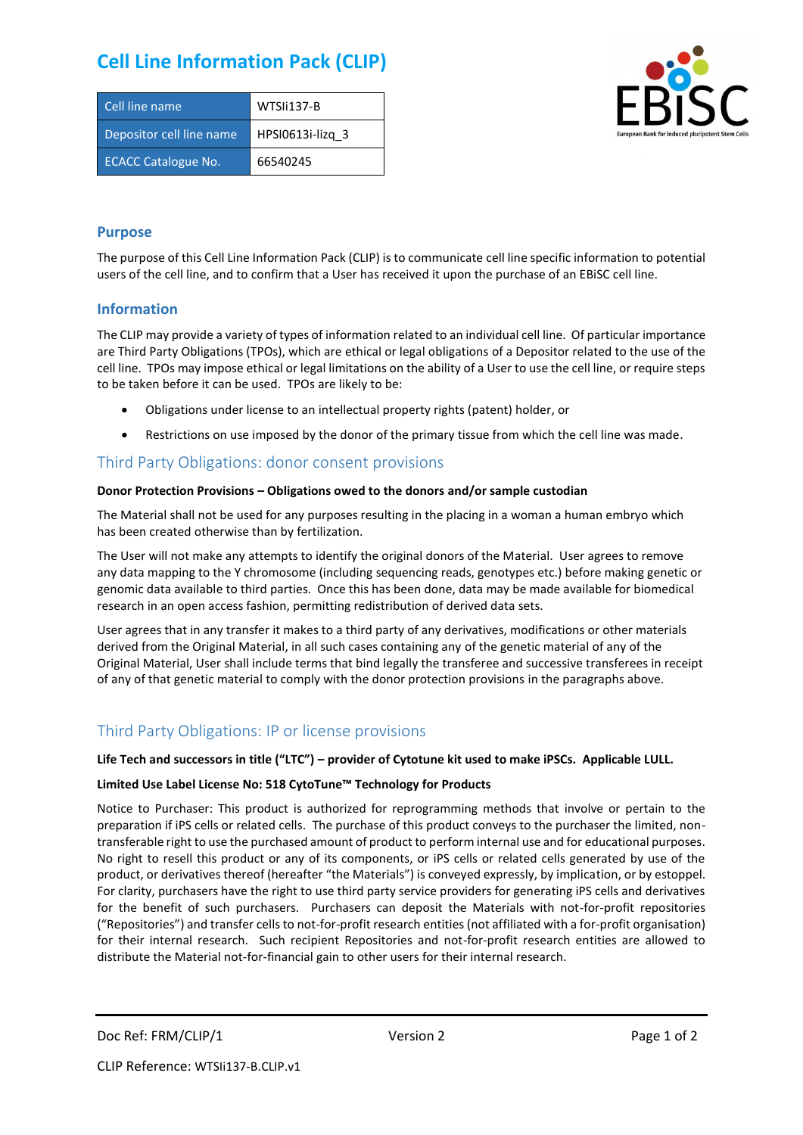# **Cell Line Information Pack (CLIP)**

| Cell line name             | WTSIi137-B       |
|----------------------------|------------------|
| Depositor cell line name   | HPSI0613i-lizg 3 |
| <b>ECACC Catalogue No.</b> | 66540245         |



#### **Purpose**

The purpose of this Cell Line Information Pack (CLIP) is to communicate cell line specific information to potential users of the cell line, and to confirm that a User has received it upon the purchase of an EBiSC cell line.

#### **Information**

The CLIP may provide a variety of types of information related to an individual cell line. Of particular importance are Third Party Obligations (TPOs), which are ethical or legal obligations of a Depositor related to the use of the cell line. TPOs may impose ethical or legal limitations on the ability of a User to use the cell line, or require steps to be taken before it can be used. TPOs are likely to be:

- Obligations under license to an intellectual property rights (patent) holder, or
- Restrictions on use imposed by the donor of the primary tissue from which the cell line was made.

### Third Party Obligations: donor consent provisions

#### **Donor Protection Provisions – Obligations owed to the donors and/or sample custodian**

The Material shall not be used for any purposes resulting in the placing in a woman a human embryo which has been created otherwise than by fertilization.

The User will not make any attempts to identify the original donors of the Material. User agrees to remove any data mapping to the Y chromosome (including sequencing reads, genotypes etc.) before making genetic or genomic data available to third parties. Once this has been done, data may be made available for biomedical research in an open access fashion, permitting redistribution of derived data sets.

User agrees that in any transfer it makes to a third party of any derivatives, modifications or other materials derived from the Original Material, in all such cases containing any of the genetic material of any of the Original Material, User shall include terms that bind legally the transferee and successive transferees in receipt of any of that genetic material to comply with the donor protection provisions in the paragraphs above.

## Third Party Obligations: IP or license provisions

#### **Life Tech and successors in title ("LTC") – provider of Cytotune kit used to make iPSCs. Applicable LULL.**

#### **Limited Use Label License No: 518 CytoTune™ Technology for Products**

Notice to Purchaser: This product is authorized for reprogramming methods that involve or pertain to the preparation if iPS cells or related cells. The purchase of this product conveys to the purchaser the limited, nontransferable right to use the purchased amount of product to perform internal use and for educational purposes. No right to resell this product or any of its components, or iPS cells or related cells generated by use of the product, or derivatives thereof (hereafter "the Materials") is conveyed expressly, by implication, or by estoppel. For clarity, purchasers have the right to use third party service providers for generating iPS cells and derivatives for the benefit of such purchasers. Purchasers can deposit the Materials with not-for-profit repositories ("Repositories") and transfer cells to not-for-profit research entities (not affiliated with a for-profit organisation) for their internal research. Such recipient Repositories and not-for-profit research entities are allowed to distribute the Material not-for-financial gain to other users for their internal research.

Doc Ref: FRM/CLIP/1 Version 2 Version 2 Page 1 of 2